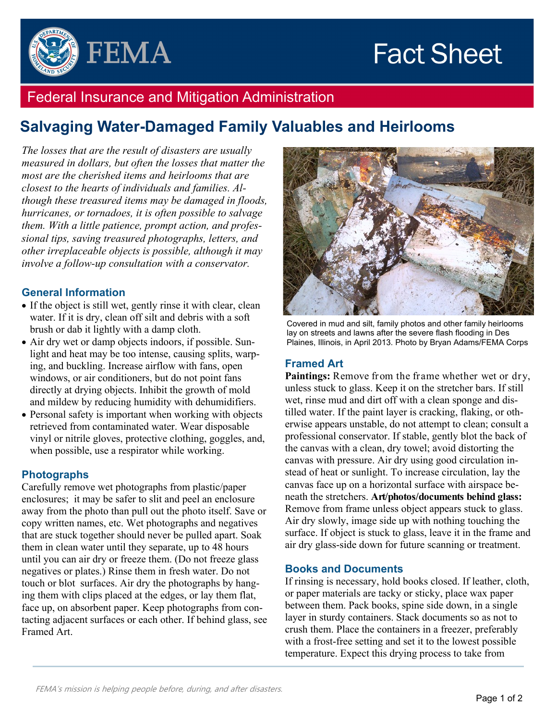# **Fact Sheet**



### Federal Insurance and Mitigation Administration

## **Salvaging Water-Damaged Family Valuables and Heirlooms**

*The losses that are the result of disasters are usually measured in dollars, but often the losses that matter the most are the cherished items and heirlooms that are closest to the hearts of individuals and families. Although these treasured items may be damaged in floods, hurricanes, or tornadoes, it is often possible to salvage them. With a little patience, prompt action, and professional tips, saving treasured photographs, letters, and other irreplaceable objects is possible, although it may involve a follow-up consultation with a conservator.*

#### **General Information**

- If the object is still wet, gently rinse it with clear, clean water. If it is dry, clean off silt and debris with a soft brush or dab it lightly with a damp cloth.
- Air dry wet or damp objects indoors, if possible. Sunlight and heat may be too intense, causing splits, warping, and buckling. Increase airflow with fans, open windows, or air conditioners, but do not point fans directly at drying objects. Inhibit the growth of mold and mildew by reducing humidity with dehumidifiers.
- Personal safety is important when working with objects retrieved from contaminated water. Wear disposable vinyl or nitrile gloves, protective clothing, goggles, and, when possible, use a respirator while working.

#### **Photographs**

Carefully remove wet photographs from plastic/paper enclosures; it may be safer to slit and peel an enclosure away from the photo than pull out the photo itself. Save or copy written names, etc. Wet photographs and negatives that are stuck together should never be pulled apart. Soak them in clean water until they separate, up to 48 hours until you can air dry or freeze them. (Do not freeze glass negatives or plates.) Rinse them in fresh water. Do not touch or blot surfaces. Air dry the photographs by hanging them with clips placed at the edges, or lay them flat, face up, on absorbent paper. Keep photographs from contacting adjacent surfaces or each other. If behind glass, see Framed Art.



Covered in mud and silt, family photos and other family heirlooms lay on streets and lawns after the severe flash flooding in Des Plaines, Illinois, in April 2013. Photo by Bryan Adams/FEMA Corps

#### **Framed Art**

**Paintings:** Remove from the frame whether wet or dry, unless stuck to glass. Keep it on the stretcher bars. If still wet, rinse mud and dirt off with a clean sponge and distilled water. If the paint layer is cracking, flaking, or otherwise appears unstable, do not attempt to clean; consult a professional conservator. If stable, gently blot the back of the canvas with a clean, dry towel; avoid distorting the canvas with pressure. Air dry using good circulation instead of heat or sunlight. To increase circulation, lay the canvas face up on a horizontal surface with airspace beneath the stretchers. **Art/photos/documents behind glass:** Remove from frame unless object appears stuck to glass. Air dry slowly, image side up with nothing touching the surface. If object is stuck to glass, leave it in the frame and air dry glass-side down for future scanning or treatment.

#### **Books and Documents**

If rinsing is necessary, hold books closed. If leather, cloth, or paper materials are tacky or sticky, place wax paper between them. Pack books, spine side down, in a single layer in sturdy containers. Stack documents so as not to crush them. Place the containers in a freezer, preferably with a frost-free setting and set it to the lowest possible temperature. Expect this drying process to take from